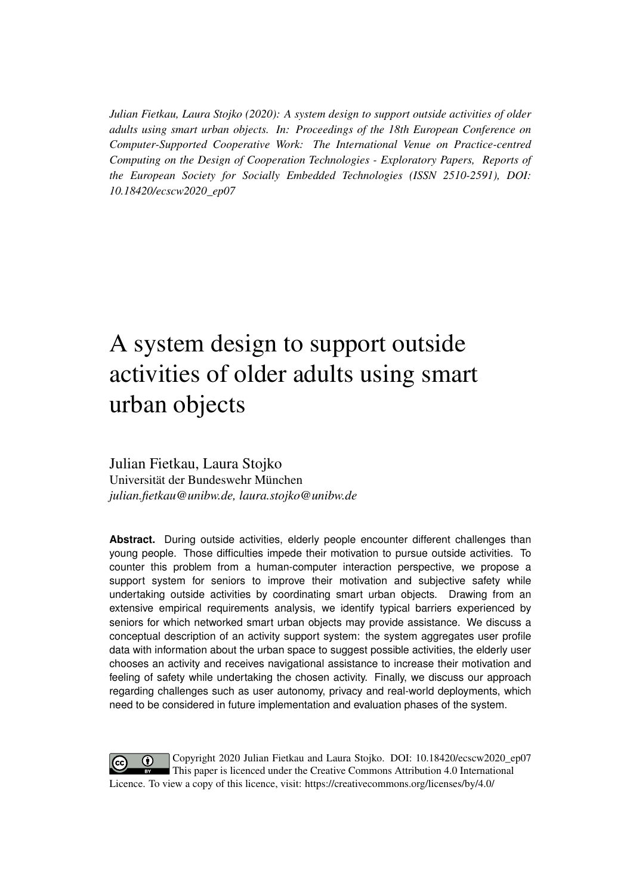*Julian Fietkau, Laura Stojko (2020): A system design to support outside activities of older adults using smart urban objects. In: Proceedings of the 18th European Conference on Computer-Supported Cooperative Work: The International Venue on Practice-centred Computing on the Design of Cooperation Technologies - Exploratory Papers, Reports of the European Society for Socially Embedded Technologies (ISSN 2510-2591), DOI: 10.18420/ecscw2020\_ep07*

# A system design to support outside activities of older adults using smart urban objects

Julian Fietkau, Laura Stojko Universität der Bundeswehr München *julian.fietkau@unibw.de, laura.stojko@unibw.de*

**Abstract.** During outside activities, elderly people encounter different challenges than young people. Those difficulties impede their motivation to pursue outside activities. To counter this problem from a human-computer interaction perspective, we propose a support system for seniors to improve their motivation and subjective safety while undertaking outside activities by coordinating smart urban objects. Drawing from an extensive empirical requirements analysis, we identify typical barriers experienced by seniors for which networked smart urban objects may provide assistance. We discuss a conceptual description of an activity support system: the system aggregates user profile data with information about the urban space to suggest possible activities, the elderly user chooses an activity and receives navigational assistance to increase their motivation and feeling of safety while undertaking the chosen activity. Finally, we discuss our approach regarding challenges such as user autonomy, privacy and real-world deployments, which need to be considered in future implementation and evaluation phases of the system.

Copyright 2020 Julian Fietkau and Laura Stojko. DOI: [10.18420/ecscw2020\\_ep07](https://doi.org/10.18420/ecscw2020_ep07)  $\bf{r}$ This paper is licenced under the Creative Commons Attribution 4.0 International Licence. To view a copy of this licence, visit:<https://creativecommons.org/licenses/by/4.0/>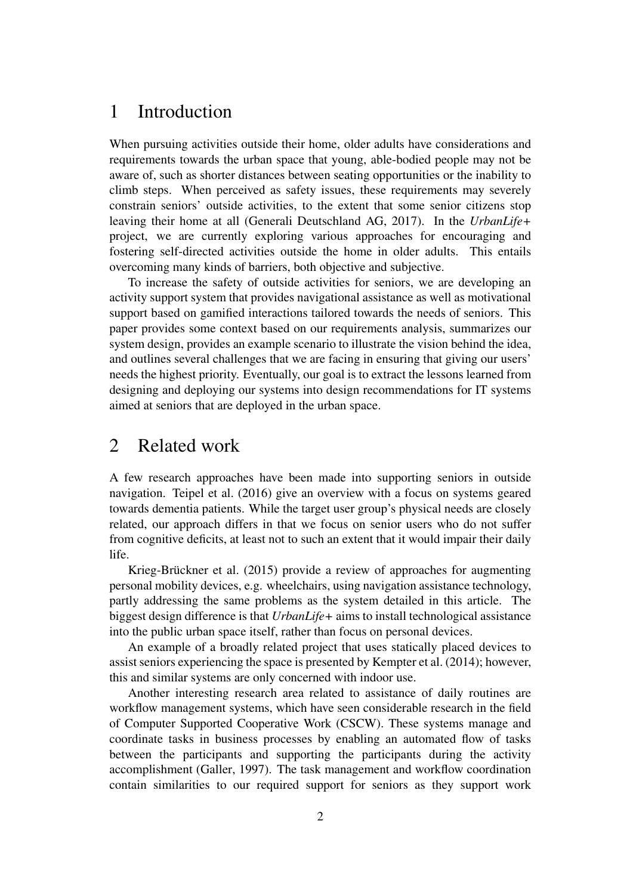## 1 Introduction

When pursuing activities outside their home, older adults have considerations and requirements towards the urban space that young, able-bodied people may not be aware of, such as shorter distances between seating opportunities or the inability to climb steps. When perceived as safety issues, these requirements may severely constrain seniors' outside activities, to the extent that some senior citizens stop leaving their home at all [\(Generali Deutschland AG, 2017\)](#page-10-0). In the *UrbanLife+* project, we are currently exploring various approaches for encouraging and fostering self-directed activities outside the home in older adults. This entails overcoming many kinds of barriers, both objective and subjective.

To increase the safety of outside activities for seniors, we are developing an activity support system that provides navigational assistance as well as motivational support based on gamified interactions tailored towards the needs of seniors. This paper provides some context based on our requirements analysis, summarizes our system design, provides an example scenario to illustrate the vision behind the idea, and outlines several challenges that we are facing in ensuring that giving our users' needs the highest priority. Eventually, our goal is to extract the lessons learned from designing and deploying our systems into design recommendations for IT systems aimed at seniors that are deployed in the urban space.

### <span id="page-1-0"></span>2 Related work

A few research approaches have been made into supporting seniors in outside navigation. [Teipel et al.](#page-11-0) [\(2016\)](#page-11-0) give an overview with a focus on systems geared towards dementia patients. While the target user group's physical needs are closely related, our approach differs in that we focus on senior users who do not suffer from cognitive deficits, at least not to such an extent that it would impair their daily life.

[Krieg-Brückner et al.](#page-11-1) [\(2015\)](#page-11-1) provide a review of approaches for augmenting personal mobility devices, e.g. wheelchairs, using navigation assistance technology, partly addressing the same problems as the system detailed in this article. The biggest design difference is that *UrbanLife+* aims to install technological assistance into the public urban space itself, rather than focus on personal devices.

An example of a broadly related project that uses statically placed devices to assist seniors experiencing the space is presented by [Kempter et al.](#page-10-1) [\(2014\)](#page-10-1); however, this and similar systems are only concerned with indoor use.

Another interesting research area related to assistance of daily routines are workflow management systems, which have seen considerable research in the field of Computer Supported Cooperative Work (CSCW). These systems manage and coordinate tasks in business processes by enabling an automated flow of tasks between the participants and supporting the participants during the activity accomplishment [\(Galler, 1997\)](#page-10-2). The task management and workflow coordination contain similarities to our required support for seniors as they support work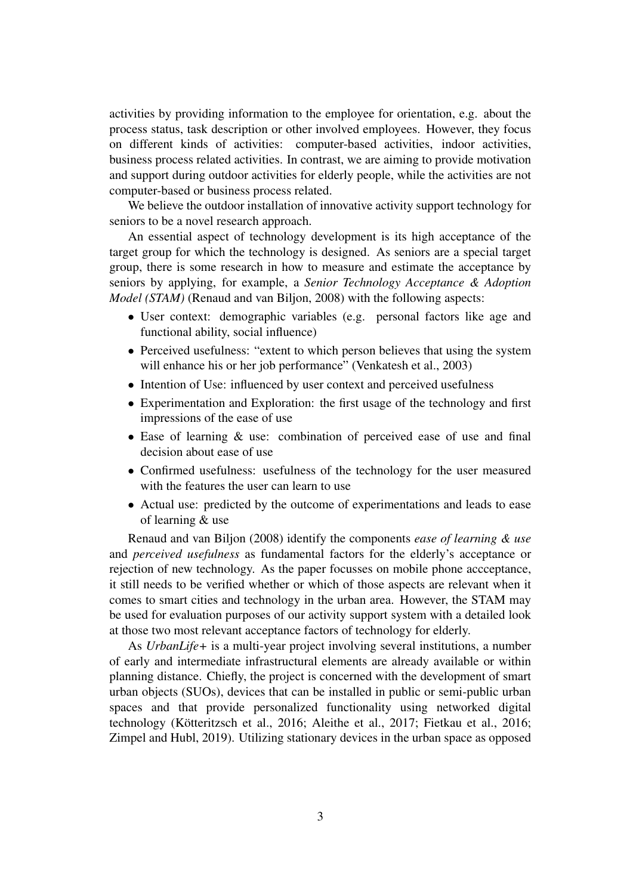activities by providing information to the employee for orientation, e.g. about the process status, task description or other involved employees. However, they focus on different kinds of activities: computer-based activities, indoor activities, business process related activities. In contrast, we are aiming to provide motivation and support during outdoor activities for elderly people, while the activities are not computer-based or business process related.

We believe the outdoor installation of innovative activity support technology for seniors to be a novel research approach.

An essential aspect of technology development is its high acceptance of the target group for which the technology is designed. As seniors are a special target group, there is some research in how to measure and estimate the acceptance by seniors by applying, for example, a *Senior Technology Acceptance & Adoption Model (STAM)* [\(Renaud and van Biljon, 2008\)](#page-11-2) with the following aspects:

- User context: demographic variables (e.g. personal factors like age and functional ability, social influence)
- Perceived usefulness: "extent to which person believes that using the system will enhance his or her job performance" [\(Venkatesh et al., 2003\)](#page-11-3)
- Intention of Use: influenced by user context and perceived usefulness
- Experimentation and Exploration: the first usage of the technology and first impressions of the ease of use
- Ease of learning & use: combination of perceived ease of use and final decision about ease of use
- Confirmed usefulness: usefulness of the technology for the user measured with the features the user can learn to use
- Actual use: predicted by the outcome of experimentations and leads to ease of learning & use

[Renaud and van Biljon](#page-11-2) [\(2008\)](#page-11-2) identify the components *ease of learning & use* and *perceived usefulness* as fundamental factors for the elderly's acceptance or rejection of new technology. As the paper focusses on mobile phone accceptance, it still needs to be verified whether or which of those aspects are relevant when it comes to smart cities and technology in the urban area. However, the STAM may be used for evaluation purposes of our activity support system with a detailed look at those two most relevant acceptance factors of technology for elderly.

As *UrbanLife+* is a multi-year project involving several institutions, a number of early and intermediate infrastructural elements are already available or within planning distance. Chiefly, the project is concerned with the development of smart urban objects (SUOs), devices that can be installed in public or semi-public urban spaces and that provide personalized functionality using networked digital technology [\(Kötteritzsch et al., 2016;](#page-10-3) [Aleithe et al., 2017;](#page-10-4) [Fietkau et al., 2016;](#page-10-5) [Zimpel and Hubl, 2019\)](#page-11-4). Utilizing stationary devices in the urban space as opposed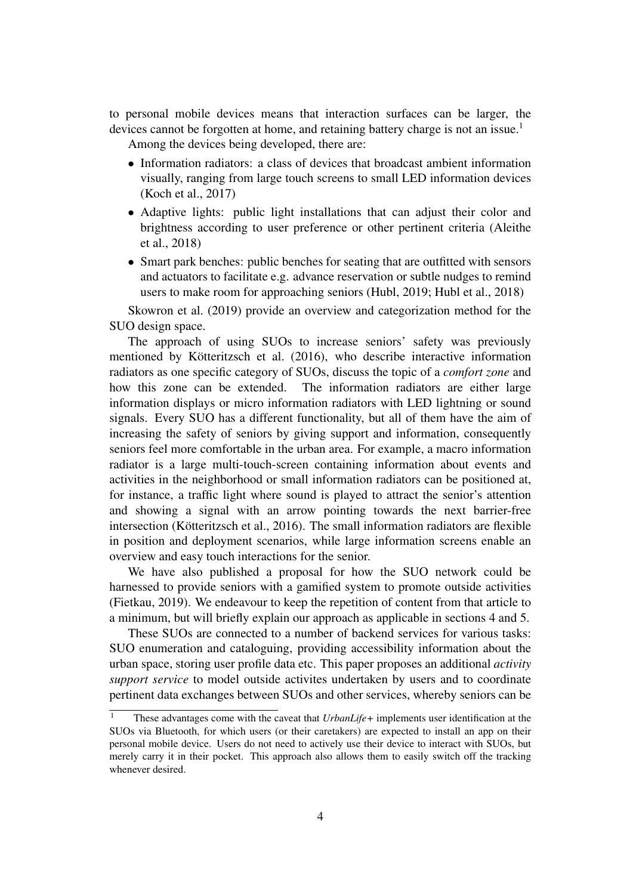to personal mobile devices means that interaction surfaces can be larger, the devices cannot be forgotten at home, and retaining battery charge is not an issue.<sup>[1](#page-3-0)</sup>

Among the devices being developed, there are:

- Information radiators: a class of devices that broadcast ambient information visually, ranging from large touch screens to small LED information devices [\(Koch et al., 2017\)](#page-10-6)
- Adaptive lights: public light installations that can adjust their color and brightness according to user preference or other pertinent criteria [\(Aleithe](#page-10-7) [et al., 2018\)](#page-10-7)
- Smart park benches: public benches for seating that are outfitted with sensors and actuators to facilitate e.g. advance reservation or subtle nudges to remind users to make room for approaching seniors [\(Hubl, 2019;](#page-10-8) [Hubl et al., 2018\)](#page-10-9)

[Skowron et al.](#page-11-5) [\(2019\)](#page-11-5) provide an overview and categorization method for the SUO design space.

The approach of using SUOs to increase seniors' safety was previously mentioned by [Kötteritzsch et al.](#page-10-10) [\(2016\)](#page-10-10), who describe interactive information radiators as one specific category of SUOs, discuss the topic of a *comfort zone* and how this zone can be extended. The information radiators are either large information displays or micro information radiators with LED lightning or sound signals. Every SUO has a different functionality, but all of them have the aim of increasing the safety of seniors by giving support and information, consequently seniors feel more comfortable in the urban area. For example, a macro information radiator is a large multi-touch-screen containing information about events and activities in the neighborhood or small information radiators can be positioned at, for instance, a traffic light where sound is played to attract the senior's attention and showing a signal with an arrow pointing towards the next barrier-free intersection [\(Kötteritzsch et al., 2016\)](#page-10-10). The small information radiators are flexible in position and deployment scenarios, while large information screens enable an overview and easy touch interactions for the senior.

We have also published a proposal for how the SUO network could be harnessed to provide seniors with a gamified system to promote outside activities [\(Fietkau, 2019\)](#page-10-11). We endeavour to keep the repetition of content from that article to a minimum, but will briefly explain our approach as applicable in sections [4](#page-5-0) and [5.](#page-7-0)

These SUOs are connected to a number of backend services for various tasks: SUO enumeration and cataloguing, providing accessibility information about the urban space, storing user profile data etc. This paper proposes an additional *activity support service* to model outside activites undertaken by users and to coordinate pertinent data exchanges between SUOs and other services, whereby seniors can be

<span id="page-3-0"></span><sup>&</sup>lt;sup>1</sup> These advantages come with the caveat that *UrbanLife*+ implements user identification at the SUOs via Bluetooth, for which users (or their caretakers) are expected to install an app on their personal mobile device. Users do not need to actively use their device to interact with SUOs, but merely carry it in their pocket. This approach also allows them to easily switch off the tracking whenever desired.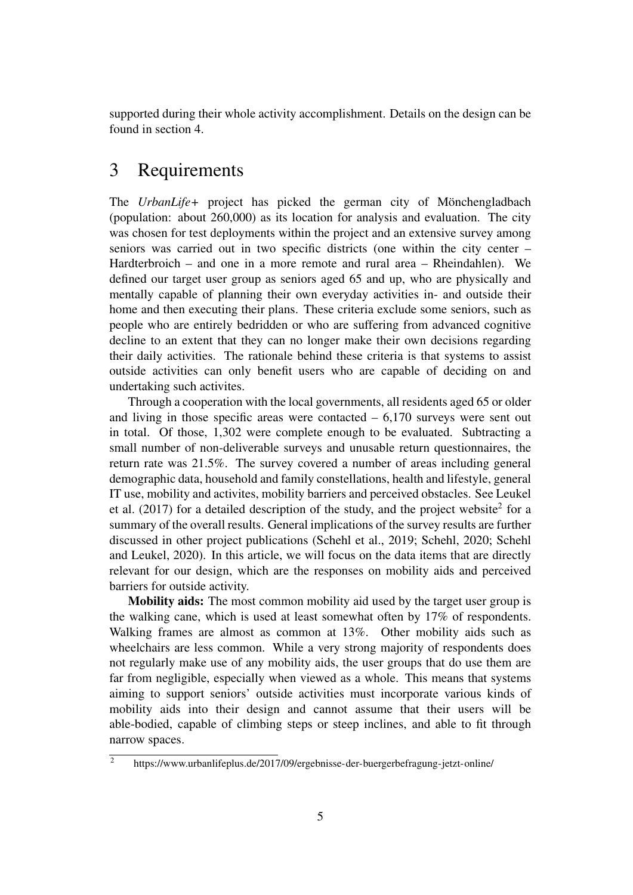supported during their whole activity accomplishment. Details on the design can be found in section [4.](#page-5-0)

# 3 Requirements

The *UrbanLife+* project has picked the german city of Mönchengladbach (population: about 260,000) as its location for analysis and evaluation. The city was chosen for test deployments within the project and an extensive survey among seniors was carried out in two specific districts (one within the city center – Hardterbroich – and one in a more remote and rural area – Rheindahlen). We defined our target user group as seniors aged 65 and up, who are physically and mentally capable of planning their own everyday activities in- and outside their home and then executing their plans. These criteria exclude some seniors, such as people who are entirely bedridden or who are suffering from advanced cognitive decline to an extent that they can no longer make their own decisions regarding their daily activities. The rationale behind these criteria is that systems to assist outside activities can only benefit users who are capable of deciding on and undertaking such activites.

Through a cooperation with the local governments, all residents aged 65 or older and living in those specific areas were contacted  $-6,170$  surveys were sent out in total. Of those, 1,302 were complete enough to be evaluated. Subtracting a small number of non-deliverable surveys and unusable return questionnaires, the return rate was 21.5%. The survey covered a number of areas including general demographic data, household and family constellations, health and lifestyle, general IT use, mobility and activites, mobility barriers and perceived obstacles. See [Leukel](#page-11-6) [et al.](#page-11-6)  $(2017)$  for a detailed description of the study, and the project website<sup>[2](#page-4-0)</sup> for a summary of the overall results. General implications of the survey results are further discussed in other project publications [\(Schehl et al., 2019;](#page-11-7) [Schehl, 2020;](#page-11-8) [Schehl](#page-11-9) [and Leukel, 2020\)](#page-11-9). In this article, we will focus on the data items that are directly relevant for our design, which are the responses on mobility aids and perceived barriers for outside activity.

Mobility aids: The most common mobility aid used by the target user group is the walking cane, which is used at least somewhat often by 17% of respondents. Walking frames are almost as common at 13%. Other mobility aids such as wheelchairs are less common. While a very strong majority of respondents does not regularly make use of any mobility aids, the user groups that do use them are far from negligible, especially when viewed as a whole. This means that systems aiming to support seniors' outside activities must incorporate various kinds of mobility aids into their design and cannot assume that their users will be able-bodied, capable of climbing steps or steep inclines, and able to fit through narrow spaces.

<span id="page-4-0"></span> $\frac{2}{2}$  <https://www.urbanlifeplus.de/2017/09/ergebnisse-der-buergerbefragung-jetzt-online/>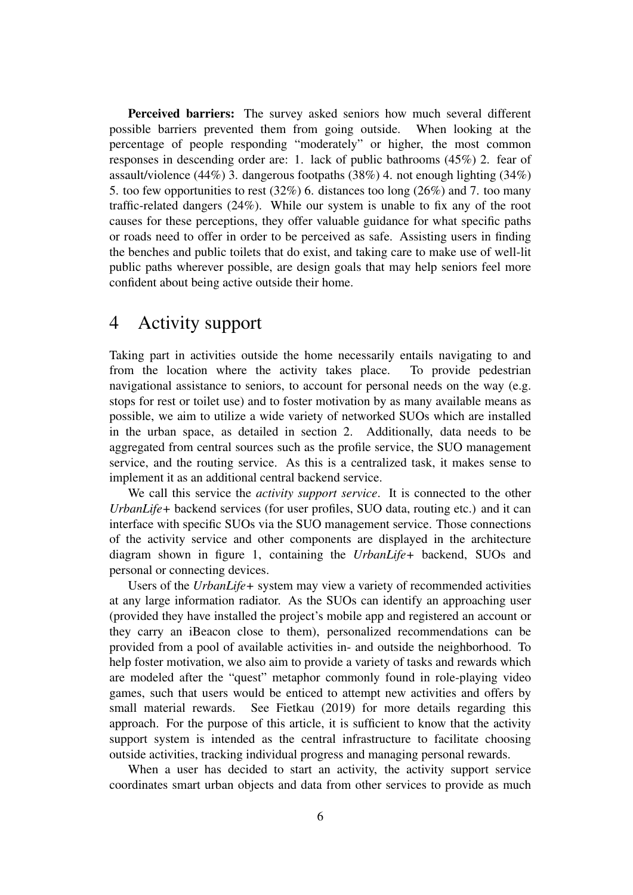Perceived barriers: The survey asked seniors how much several different possible barriers prevented them from going outside. When looking at the percentage of people responding "moderately" or higher, the most common responses in descending order are: 1. lack of public bathrooms (45%) 2. fear of assault/violence (44%) 3. dangerous footpaths (38%) 4. not enough lighting (34%) 5. too few opportunities to rest (32%) 6. distances too long (26%) and 7. too many traffic-related dangers (24%). While our system is unable to fix any of the root causes for these perceptions, they offer valuable guidance for what specific paths or roads need to offer in order to be perceived as safe. Assisting users in finding the benches and public toilets that do exist, and taking care to make use of well-lit public paths wherever possible, are design goals that may help seniors feel more confident about being active outside their home.

# <span id="page-5-0"></span>4 Activity support

Taking part in activities outside the home necessarily entails navigating to and from the location where the activity takes place. To provide pedestrian navigational assistance to seniors, to account for personal needs on the way (e.g. stops for rest or toilet use) and to foster motivation by as many available means as possible, we aim to utilize a wide variety of networked SUOs which are installed in the urban space, as detailed in section [2.](#page-1-0) Additionally, data needs to be aggregated from central sources such as the profile service, the SUO management service, and the routing service. As this is a centralized task, it makes sense to implement it as an additional central backend service.

We call this service the *activity support service*. It is connected to the other *UrbanLife+* backend services (for user profiles, SUO data, routing etc.) and it can interface with specific SUOs via the SUO management service. Those connections of the activity service and other components are displayed in the architecture diagram shown in figure [1,](#page-6-0) containing the *UrbanLife+* backend, SUOs and personal or connecting devices.

Users of the *UrbanLife+* system may view a variety of recommended activities at any large information radiator. As the SUOs can identify an approaching user (provided they have installed the project's mobile app and registered an account or they carry an iBeacon close to them), personalized recommendations can be provided from a pool of available activities in- and outside the neighborhood. To help foster motivation, we also aim to provide a variety of tasks and rewards which are modeled after the "quest" metaphor commonly found in role-playing video games, such that users would be enticed to attempt new activities and offers by small material rewards. See [Fietkau](#page-10-11) [\(2019\)](#page-10-11) for more details regarding this approach. For the purpose of this article, it is sufficient to know that the activity support system is intended as the central infrastructure to facilitate choosing outside activities, tracking individual progress and managing personal rewards.

When a user has decided to start an activity, the activity support service coordinates smart urban objects and data from other services to provide as much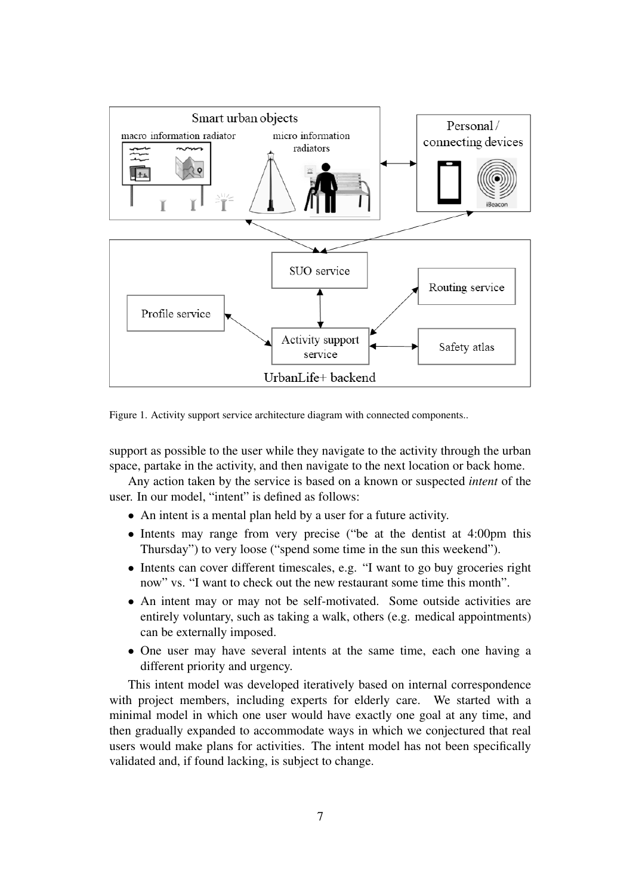

<span id="page-6-0"></span>Figure 1. Activity support service architecture diagram with connected components..

support as possible to the user while they navigate to the activity through the urban space, partake in the activity, and then navigate to the next location or back home.

Any action taken by the service is based on a known or suspected *intent* of the user. In our model, "intent" is defined as follows:

- An intent is a mental plan held by a user for a future activity.
- Intents may range from very precise ("be at the dentist at 4:00pm this Thursday") to very loose ("spend some time in the sun this weekend").
- Intents can cover different timescales, e.g. "I want to go buy groceries right now" vs. "I want to check out the new restaurant some time this month".
- An intent may or may not be self-motivated. Some outside activities are entirely voluntary, such as taking a walk, others (e.g. medical appointments) can be externally imposed.
- One user may have several intents at the same time, each one having a different priority and urgency.

This intent model was developed iteratively based on internal correspondence with project members, including experts for elderly care. We started with a minimal model in which one user would have exactly one goal at any time, and then gradually expanded to accommodate ways in which we conjectured that real users would make plans for activities. The intent model has not been specifically validated and, if found lacking, is subject to change.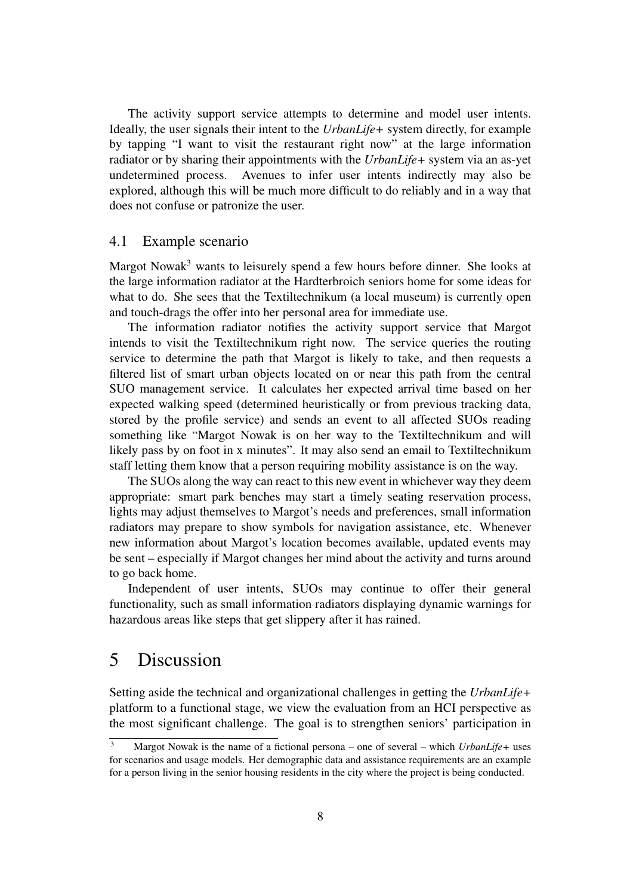The activity support service attempts to determine and model user intents. Ideally, the user signals their intent to the *UrbanLife+* system directly, for example by tapping "I want to visit the restaurant right now" at the large information radiator or by sharing their appointments with the *UrbanLife+* system via an as-yet undetermined process. Avenues to infer user intents indirectly may also be explored, although this will be much more difficult to do reliably and in a way that does not confuse or patronize the user.

#### 4.1 Example scenario

Margot Nowak<sup>[3](#page-7-1)</sup> wants to leisurely spend a few hours before dinner. She looks at the large information radiator at the Hardterbroich seniors home for some ideas for what to do. She sees that the Textiltechnikum (a local museum) is currently open and touch-drags the offer into her personal area for immediate use.

The information radiator notifies the activity support service that Margot intends to visit the Textiltechnikum right now. The service queries the routing service to determine the path that Margot is likely to take, and then requests a filtered list of smart urban objects located on or near this path from the central SUO management service. It calculates her expected arrival time based on her expected walking speed (determined heuristically or from previous tracking data, stored by the profile service) and sends an event to all affected SUOs reading something like "Margot Nowak is on her way to the Textiltechnikum and will likely pass by on foot in x minutes". It may also send an email to Textiltechnikum staff letting them know that a person requiring mobility assistance is on the way.

The SUOs along the way can react to this new event in whichever way they deem appropriate: smart park benches may start a timely seating reservation process, lights may adjust themselves to Margot's needs and preferences, small information radiators may prepare to show symbols for navigation assistance, etc. Whenever new information about Margot's location becomes available, updated events may be sent – especially if Margot changes her mind about the activity and turns around to go back home.

Independent of user intents, SUOs may continue to offer their general functionality, such as small information radiators displaying dynamic warnings for hazardous areas like steps that get slippery after it has rained.

### <span id="page-7-0"></span>5 Discussion

Setting aside the technical and organizational challenges in getting the *UrbanLife+* platform to a functional stage, we view the evaluation from an HCI perspective as the most significant challenge. The goal is to strengthen seniors' participation in

<span id="page-7-1"></span><sup>3</sup> Margot Nowak is the name of a fictional persona – one of several – which *UrbanLife+* uses for scenarios and usage models. Her demographic data and assistance requirements are an example for a person living in the senior housing residents in the city where the project is being conducted.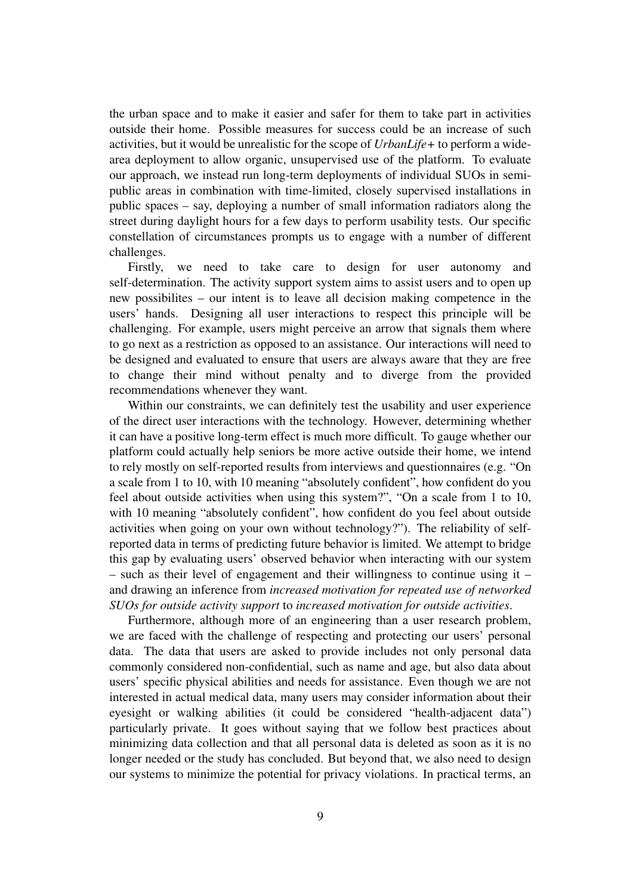the urban space and to make it easier and safer for them to take part in activities outside their home. Possible measures for success could be an increase of such activities, but it would be unrealistic for the scope of *UrbanLife+* to perform a widearea deployment to allow organic, unsupervised use of the platform. To evaluate our approach, we instead run long-term deployments of individual SUOs in semipublic areas in combination with time-limited, closely supervised installations in public spaces – say, deploying a number of small information radiators along the street during daylight hours for a few days to perform usability tests. Our specific constellation of circumstances prompts us to engage with a number of different challenges.

Firstly, we need to take care to design for user autonomy and self-determination. The activity support system aims to assist users and to open up new possibilites – our intent is to leave all decision making competence in the users' hands. Designing all user interactions to respect this principle will be challenging. For example, users might perceive an arrow that signals them where to go next as a restriction as opposed to an assistance. Our interactions will need to be designed and evaluated to ensure that users are always aware that they are free to change their mind without penalty and to diverge from the provided recommendations whenever they want.

Within our constraints, we can definitely test the usability and user experience of the direct user interactions with the technology. However, determining whether it can have a positive long-term effect is much more difficult. To gauge whether our platform could actually help seniors be more active outside their home, we intend to rely mostly on self-reported results from interviews and questionnaires (e.g. "On a scale from 1 to 10, with 10 meaning "absolutely confident", how confident do you feel about outside activities when using this system?", "On a scale from 1 to 10, with 10 meaning "absolutely confident", how confident do you feel about outside activities when going on your own without technology?"). The reliability of selfreported data in terms of predicting future behavior is limited. We attempt to bridge this gap by evaluating users' observed behavior when interacting with our system – such as their level of engagement and their willingness to continue using it – and drawing an inference from *increased motivation for repeated use of networked SUOs for outside activity support* to *increased motivation for outside activities*.

Furthermore, although more of an engineering than a user research problem, we are faced with the challenge of respecting and protecting our users' personal data. The data that users are asked to provide includes not only personal data commonly considered non-confidential, such as name and age, but also data about users' specific physical abilities and needs for assistance. Even though we are not interested in actual medical data, many users may consider information about their eyesight or walking abilities (it could be considered "health-adjacent data") particularly private. It goes without saying that we follow best practices about minimizing data collection and that all personal data is deleted as soon as it is no longer needed or the study has concluded. But beyond that, we also need to design our systems to minimize the potential for privacy violations. In practical terms, an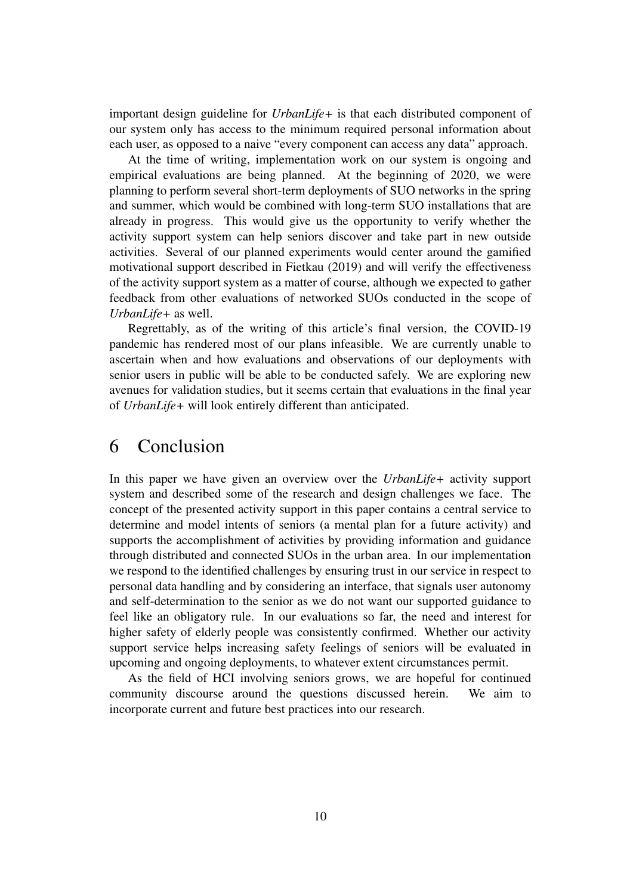important design guideline for *UrbanLife+* is that each distributed component of our system only has access to the minimum required personal information about each user, as opposed to a naive "every component can access any data" approach.

At the time of writing, implementation work on our system is ongoing and empirical evaluations are being planned. At the beginning of 2020, we were planning to perform several short-term deployments of SUO networks in the spring and summer, which would be combined with long-term SUO installations that are already in progress. This would give us the opportunity to verify whether the activity support system can help seniors discover and take part in new outside activities. Several of our planned experiments would center around the gamified motivational support described in [Fietkau](#page-10-11) [\(2019\)](#page-10-11) and will verify the effectiveness of the activity support system as a matter of course, although we expected to gather feedback from other evaluations of networked SUOs conducted in the scope of *UrbanLife+* as well.

Regrettably, as of the writing of this article's final version, the COVID-19 pandemic has rendered most of our plans infeasible. We are currently unable to ascertain when and how evaluations and observations of our deployments with senior users in public will be able to be conducted safely. We are exploring new avenues for validation studies, but it seems certain that evaluations in the final year of *UrbanLife+* will look entirely different than anticipated.

### 6 Conclusion

In this paper we have given an overview over the *UrbanLife+* activity support system and described some of the research and design challenges we face. The concept of the presented activity support in this paper contains a central service to determine and model intents of seniors (a mental plan for a future activity) and supports the accomplishment of activities by providing information and guidance through distributed and connected SUOs in the urban area. In our implementation we respond to the identified challenges by ensuring trust in our service in respect to personal data handling and by considering an interface, that signals user autonomy and self-determination to the senior as we do not want our supported guidance to feel like an obligatory rule. In our evaluations so far, the need and interest for higher safety of elderly people was consistently confirmed. Whether our activity support service helps increasing safety feelings of seniors will be evaluated in upcoming and ongoing deployments, to whatever extent circumstances permit.

As the field of HCI involving seniors grows, we are hopeful for continued community discourse around the questions discussed herein. We aim to incorporate current and future best practices into our research.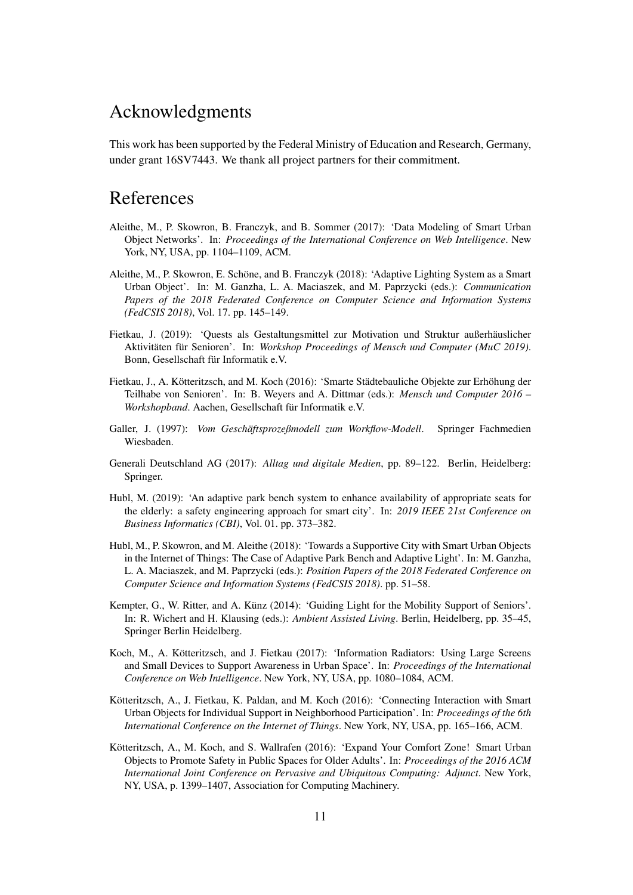# Acknowledgments

This work has been supported by the Federal Ministry of Education and Research, Germany, under grant 16SV7443. We thank all project partners for their commitment.

# References

- <span id="page-10-4"></span>Aleithe, M., P. Skowron, B. Franczyk, and B. Sommer (2017): 'Data Modeling of Smart Urban Object Networks'. In: *Proceedings of the International Conference on Web Intelligence*. New York, NY, USA, pp. 1104–1109, ACM.
- <span id="page-10-7"></span>Aleithe, M., P. Skowron, E. Schöne, and B. Franczyk (2018): 'Adaptive Lighting System as a Smart Urban Object'. In: M. Ganzha, L. A. Maciaszek, and M. Paprzycki (eds.): *Communication Papers of the 2018 Federated Conference on Computer Science and Information Systems (FedCSIS 2018)*, Vol. 17. pp. 145–149.
- <span id="page-10-11"></span>Fietkau, J. (2019): 'Quests als Gestaltungsmittel zur Motivation und Struktur außerhäuslicher Aktivitäten für Senioren'. In: *Workshop Proceedings of Mensch und Computer (MuC 2019)*. Bonn, Gesellschaft für Informatik e.V.
- <span id="page-10-5"></span>Fietkau, J., A. Kötteritzsch, and M. Koch (2016): 'Smarte Städtebauliche Objekte zur Erhöhung der Teilhabe von Senioren'. In: B. Weyers and A. Dittmar (eds.): *Mensch und Computer 2016 – Workshopband*. Aachen, Gesellschaft für Informatik e.V.
- <span id="page-10-2"></span>Galler, J. (1997): *Vom Geschäftsprozeßmodell zum Workflow-Modell*. Springer Fachmedien Wiesbaden.
- <span id="page-10-0"></span>Generali Deutschland AG (2017): *Alltag und digitale Medien*, pp. 89–122. Berlin, Heidelberg: Springer.
- <span id="page-10-8"></span>Hubl, M. (2019): 'An adaptive park bench system to enhance availability of appropriate seats for the elderly: a safety engineering approach for smart city'. In: *2019 IEEE 21st Conference on Business Informatics (CBI)*, Vol. 01. pp. 373–382.
- <span id="page-10-9"></span>Hubl, M., P. Skowron, and M. Aleithe (2018): 'Towards a Supportive City with Smart Urban Objects in the Internet of Things: The Case of Adaptive Park Bench and Adaptive Light'. In: M. Ganzha, L. A. Maciaszek, and M. Paprzycki (eds.): *Position Papers of the 2018 Federated Conference on Computer Science and Information Systems (FedCSIS 2018)*. pp. 51–58.
- <span id="page-10-1"></span>Kempter, G., W. Ritter, and A. Künz (2014): 'Guiding Light for the Mobility Support of Seniors'. In: R. Wichert and H. Klausing (eds.): *Ambient Assisted Living*. Berlin, Heidelberg, pp. 35–45, Springer Berlin Heidelberg.
- <span id="page-10-6"></span>Koch, M., A. Kötteritzsch, and J. Fietkau (2017): 'Information Radiators: Using Large Screens and Small Devices to Support Awareness in Urban Space'. In: *Proceedings of the International Conference on Web Intelligence*. New York, NY, USA, pp. 1080–1084, ACM.
- <span id="page-10-3"></span>Kötteritzsch, A., J. Fietkau, K. Paldan, and M. Koch (2016): 'Connecting Interaction with Smart Urban Objects for Individual Support in Neighborhood Participation'. In: *Proceedings of the 6th International Conference on the Internet of Things*. New York, NY, USA, pp. 165–166, ACM.
- <span id="page-10-10"></span>Kötteritzsch, A., M. Koch, and S. Wallrafen (2016): 'Expand Your Comfort Zone! Smart Urban Objects to Promote Safety in Public Spaces for Older Adults'. In: *Proceedings of the 2016 ACM International Joint Conference on Pervasive and Ubiquitous Computing: Adjunct*. New York, NY, USA, p. 1399–1407, Association for Computing Machinery.